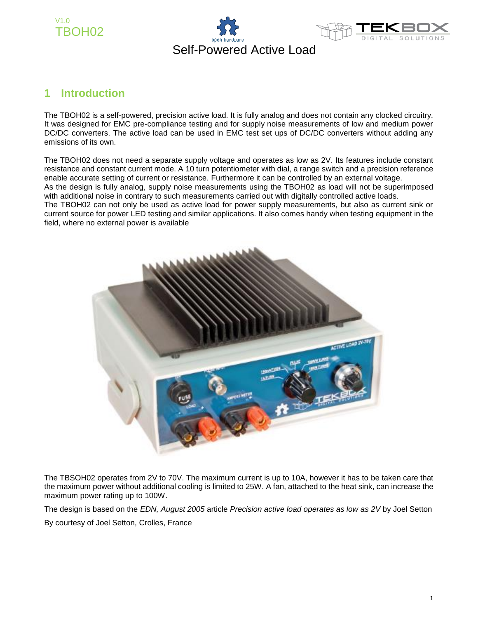





#### **1 Introduction**

The TBOH02 is a self-powered, precision active load. It is fully analog and does not contain any clocked circuitry. It was designed for EMC pre-compliance testing and for supply noise measurements of low and medium power DC/DC converters. The active load can be used in EMC test set ups of DC/DC converters without adding any emissions of its own.

The TBOH02 does not need a separate supply voltage and operates as low as 2V. Its features include constant resistance and constant current mode. A 10 turn potentiometer with dial, a range switch and a precision reference enable accurate setting of current or resistance. Furthermore it can be controlled by an external voltage. As the design is fully analog, supply noise measurements using the TBOH02 as load will not be superimposed with additional noise in contrary to such measurements carried out with digitally controlled active loads. The TBOH02 can not only be used as active load for power supply measurements, but also as current sink or current source for power LED testing and similar applications. It also comes handy when testing equipment in the field, where no external power is available



The TBSOH02 operates from 2V to 70V. The maximum current is up to 10A, however it has to be taken care that the maximum power without additional cooling is limited to 25W. A fan, attached to the heat sink, can increase the maximum power rating up to 100W.

The design is based on the *EDN, August 2005* article *Precision active load operates as low as 2V* by Joel Setton

By courtesy of Joel Setton, Crolles, France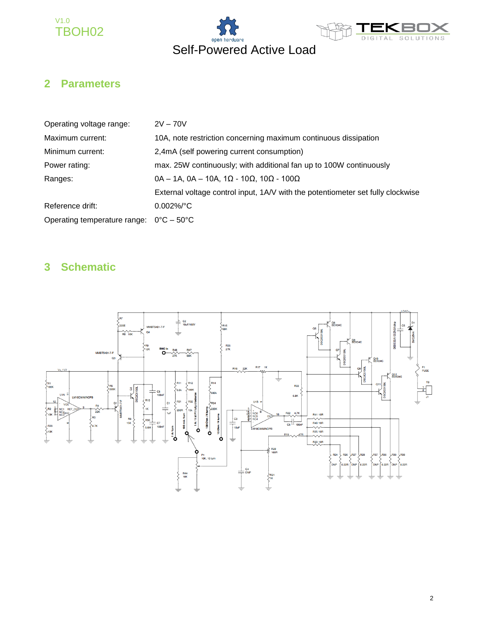





### **2 Parameters**

| Operating voltage range:     | $2V - 70V$                                                                      |
|------------------------------|---------------------------------------------------------------------------------|
| Maximum current:             | 10A, note restriction concerning maximum continuous dissipation                 |
| Minimum current:             | 2,4mA (self powering current consumption)                                       |
| Power rating:                | max. 25W continuously; with additional fan up to 100W continuously              |
| Ranges:                      | $0A - 1A$ , $0A - 10A$ , $1\Omega - 10\Omega$ , $10\Omega - 100\Omega$          |
|                              | External voltage control input, 1A/V with the potentiometer set fully clockwise |
| Reference drift:             | $0.002\%$ <sup>o</sup> C                                                        |
| Operating temperature range: | $0^{\circ}$ C – 50 $^{\circ}$ C                                                 |

# **3 Schematic**

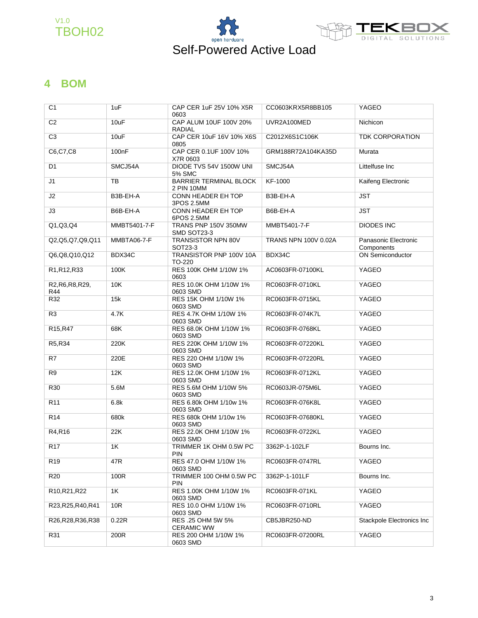





## **4 BOM**

| C <sub>1</sub>                 | 1uF                | CAP CER 1uF 25V 10% X5R<br>0603             | CC0603KRX5R8BB105           | YAGEO                              |
|--------------------------------|--------------------|---------------------------------------------|-----------------------------|------------------------------------|
| C <sub>2</sub>                 | 10uF               | CAP ALUM 10UF 100V 20%<br><b>RADIAL</b>     | UVR2A100MED                 | Nichicon                           |
| C3                             | 10uF               | CAP CER 10uF 16V 10% X6S<br>0805            | C2012X6S1C106K              | TDK CORPORATION                    |
| C6,C7,C8                       | 100 <sub>n</sub> F | CAP CER 0.1UF 100V 10%<br>X7R 0603          | GRM188R72A104KA35D          | Murata                             |
| D <sub>1</sub>                 | SMCJ54A            | DIODE TVS 54V 1500W UNI<br><b>5% SMC</b>    | SMCJ54A                     | Littelfuse Inc                     |
| J1                             | TB                 | <b>BARRIER TERMINAL BLOCK</b><br>2 PIN 10MM | KF-1000                     | Kaifeng Electronic                 |
| J2                             | B3B-EH-A           | CONN HEADER EH TOP<br>3POS 2.5MM            | B3B-EH-A                    | <b>JST</b>                         |
| J3                             | B6B-EH-A           | CONN HEADER EH TOP<br>6POS 2.5MM            | B6B-EH-A                    | <b>JST</b>                         |
| Q1,Q3,Q4                       | MMBT5401-7-F       | TRANS PNP 150V 350MW<br>SMD SOT23-3         | MMBT5401-7-F                | <b>DIODES INC</b>                  |
| Q2, Q5, Q7, Q9, Q11            | MMBTA06-7-F        | TRANSISTOR NPN 80V<br>SOT23-3               | <b>TRANS NPN 100V 0.02A</b> | Panasonic Electronic<br>Components |
| Q6,Q8,Q10,Q12                  | BDX34C             | TRANSISTOR PNP 100V 10A<br>TO-220           | BDX34C                      | <b>ON Semiconductor</b>            |
| R1, R12, R33                   | 100K               | RES 100K OHM 1/10W 1%<br>0603               | AC0603FR-07100KL            | YAGEO                              |
| R2, R6, R8, R29,<br><b>R44</b> | 10K                | RES 10.0K OHM 1/10W 1%<br>0603 SMD          | RC0603FR-0710KL             | YAGEO                              |
| R32                            | 15k                | RES 15K OHM 1/10W 1%<br>0603 SMD            | RC0603FR-0715KL             | YAGEO                              |
| R <sub>3</sub>                 | 4.7K               | RES 4.7K OHM 1/10W 1%<br>0603 SMD           | RC0603FR-074K7L             | YAGEO                              |
| R15,R47                        | 68K                | RES 68.0K OHM 1/10W 1%<br>0603 SMD          | RC0603FR-0768KL             | YAGEO                              |
| R5,R34                         | 220K               | RES 220K OHM 1/10W 1%<br>0603 SMD           | RC0603FR-07220KL            | YAGEO                              |
| R7                             | 220E               | RES 220 OHM 1/10W 1%<br>0603 SMD            | RC0603FR-07220RL            | YAGEO                              |
| R <sub>9</sub>                 | 12K                | RES 12.0K OHM 1/10W 1%<br>0603 SMD          | RC0603FR-0712KL             | YAGEO                              |
| R30                            | 5.6M               | RES 5.6M OHM 1/10W 5%<br>0603 SMD           | RC0603JR-075M6L             | YAGEO                              |
| R <sub>11</sub>                | 6.8k               | RES 6.80k OHM 1/10w 1%<br>0603 SMD          | RC0603FR-076K8L             | YAGEO                              |
| R <sub>14</sub>                | 680k               | RES 680k OHM 1/10w 1%<br>0603 SMD           | RC0603FR-07680KL            | YAGEO                              |
| R4,R16                         | 22K                | RES 22.0K OHM 1/10W 1%<br>0603 SMD          | RC0603FR-0722KL             | YAGEO                              |
| R <sub>17</sub>                | 1K                 | TRIMMER 1K OHM 0.5W PC<br><b>PIN</b>        | 3362P-1-102LF               | Bourns Inc.                        |
| R <sub>19</sub>                | 47R                | RES 47.0 OHM 1/10W 1%<br>0603 SMD           | RC0603FR-0747RL             | YAGEO                              |
| <b>R20</b>                     | 100R               | TRIMMER 100 OHM 0.5W PC<br>PIN              | 3362P-1-101LF               | Bourns Inc.                        |
| R10, R21, R22                  | 1K                 | RES 1.00K OHM 1/10W 1%<br>0603 SMD          | RC0603FR-071KL              | YAGEO                              |
| R23, R25, R40, R41             | 10R                | RES 10.0 OHM 1/10W 1%<br>0603 SMD           | RC0603FR-0710RL             | YAGEO                              |
| R26, R28, R36, R38             | 0.22R              | RES .25 OHM 5W 5%<br><b>CERAMIC WW</b>      | CB5JBR250-ND                | Stackpole Electronics Inc          |
| R31                            | 200R               | RES 200 OHM 1/10W 1%<br>0603 SMD            | RC0603FR-07200RL            | YAGEO                              |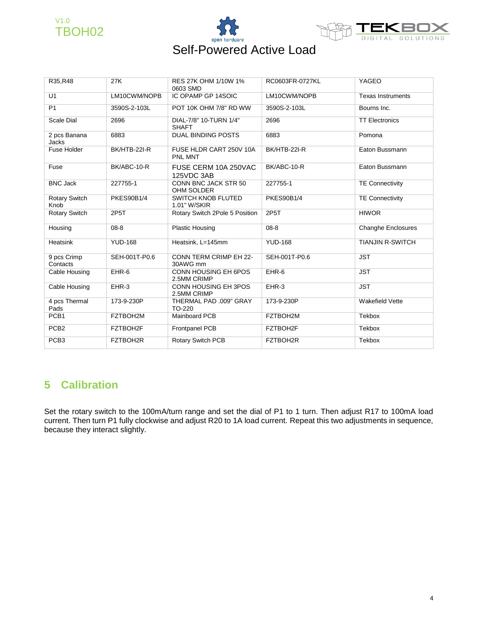





| R35, R48                     | 27K               | RES 27K OHM 1/10W 1%<br>0603 SMD           | RC0603FR-0727KL   | YAGEO                     |
|------------------------------|-------------------|--------------------------------------------|-------------------|---------------------------|
| U1                           | LM10CWM/NOPB      | IC OPAMP GP 14SOIC                         | LM10CWM/NOPB      | <b>Texas Instruments</b>  |
| P <sub>1</sub>               | 3590S-2-103L      | POT 10K OHM 7/8" RD WW                     | 3590S-2-103L      | Bourns Inc.               |
| <b>Scale Dial</b>            | 2696              | DIAL-7/8" 10-TURN 1/4"<br><b>SHAFT</b>     | 2696              | <b>TT Electronics</b>     |
| 2 pcs Banana<br><b>Jacks</b> | 6883              | <b>DUAL BINDING POSTS</b>                  | 6883              | Pomona                    |
| Fuse Holder                  | BK/HTB-22I-R      | FUSE HLDR CART 250V 10A<br>PNL MNT         | BK/HTB-22I-R      | Eaton Bussmann            |
| Fuse                         | BK/ABC-10-R       | FUSE CERM 10A 250VAC<br>125VDC 3AB         | BK/ABC-10-R       | Eaton Bussmann            |
| <b>BNC Jack</b>              | 227755-1          | CONN BNC JACK STR 50<br>OHM SOLDER         | 227755-1          | <b>TE Connectivity</b>    |
| <b>Rotary Switch</b><br>Knob | <b>PKES90B1/4</b> | <b>SWITCH KNOB FLUTED</b><br>1.01" W/SKIR  | <b>PKES90B1/4</b> | <b>TE Connectivity</b>    |
| <b>Rotary Switch</b>         | 2P5T              | Rotary Switch 2Pole 5 Position             | 2P5T              | <b>HIWOR</b>              |
| Housing                      | $08 - 8$          | <b>Plastic Housing</b>                     | $08 - 8$          | <b>Changhe Enclosures</b> |
| Heatsink                     | <b>YUD-168</b>    | Heatsink, L=145mm                          | <b>YUD-168</b>    | <b>TIANJIN R-SWITCH</b>   |
| 9 pcs Crimp<br>Contacts      | SEH-001T-P0.6     | <b>CONN TERM CRIMP EH 22-</b><br>30AWG mm  | SEH-001T-P0.6     | <b>JST</b>                |
| Cable Housing                | EHR-6             | CONN HOUSING EH 6POS<br>2.5MM CRIMP        | EHR-6             | <b>JST</b>                |
| Cable Housing                | EHR-3             | <b>CONN HOUSING EH 3POS</b><br>2.5MM CRIMP | EHR-3             | <b>JST</b>                |
| 4 pcs Thermal<br>Pads        | 173-9-230P        | THERMAL PAD .009" GRAY<br>TO-220           | 173-9-230P        | <b>Wakefield Vette</b>    |
| PCB1                         | FZTBOH2M          | Mainboard PCB                              | FZTBOH2M          | <b>Tekbox</b>             |
| PCB <sub>2</sub>             | FZTBOH2F          | Frontpanel PCB                             | FZTBOH2F          | <b>Tekbox</b>             |
| PCB <sub>3</sub>             | FZTBOH2R          | Rotary Switch PCB                          | FZTBOH2R          | <b>Tekbox</b>             |

### **5 Calibration**

Set the rotary switch to the 100mA/turn range and set the dial of P1 to 1 turn. Then adjust R17 to 100mA load current. Then turn P1 fully clockwise and adjust R20 to 1A load current. Repeat this two adjustments in sequence, because they interact slightly.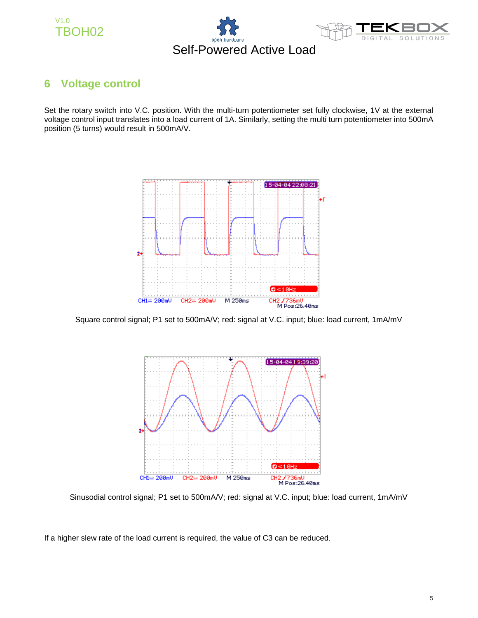





#### **6 Voltage control**

Set the rotary switch into V.C. position. With the multi-turn potentiometer set fully clockwise, 1V at the external voltage control input translates into a load current of 1A. Similarly, setting the multi turn potentiometer into 500mA position (5 turns) would result in 500mA/V.



Square control signal; P1 set to 500mA/V; red: signal at V.C. input; blue: load current, 1mA/mV



Sinusodial control signal; P1 set to 500mA/V; red: signal at V.C. input; blue: load current, 1mA/mV

If a higher slew rate of the load current is required, the value of C3 can be reduced.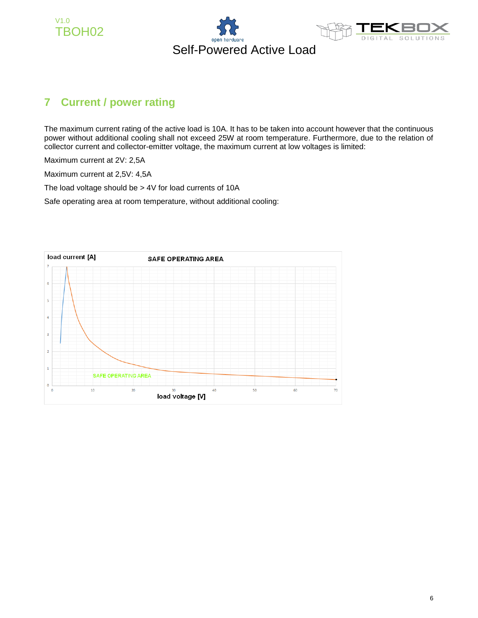





### **7 Current / power rating**

The maximum current rating of the active load is 10A. It has to be taken into account however that the continuous power without additional cooling shall not exceed 25W at room temperature. Furthermore, due to the relation of collector current and collector-emitter voltage, the maximum current at low voltages is limited:

Maximum current at 2V: 2,5A

Maximum current at 2,5V: 4,5A

The load voltage should be > 4V for load currents of 10A

Safe operating area at room temperature, without additional cooling: